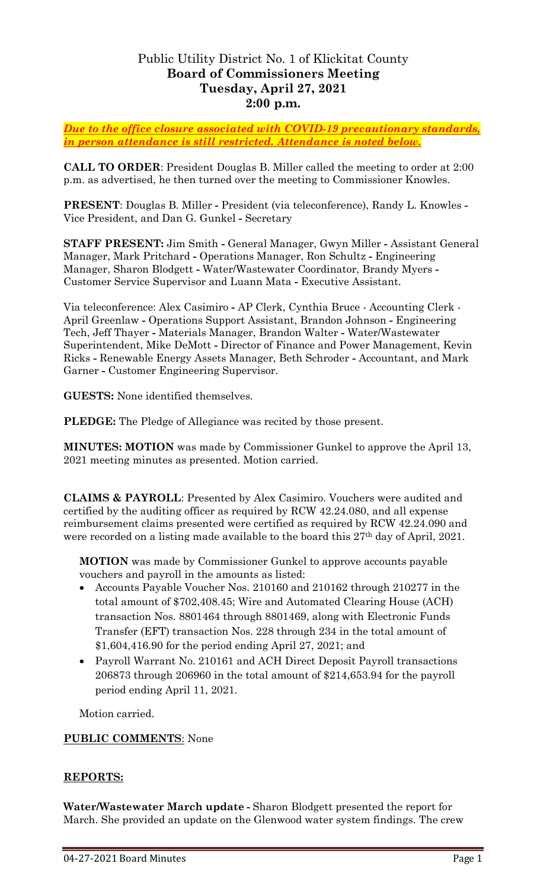# Public Utility District No. 1 of Klickitat County **Board of Commissioners Meeting Tuesday, April 27, 2021 2:00 p.m.**

*Due to the office closure associated with COVID-19 precautionary standards, in person attendance is still restricted. Attendance is noted below.*

**CALL TO ORDER**: President Douglas B. Miller called the meeting to order at 2:00 p.m. as advertised, he then turned over the meeting to Commissioner Knowles.

**PRESENT**: Douglas B. Miller **-** President (via teleconference), Randy L. Knowles **-** Vice President, and Dan G. Gunkel **-** Secretary

**STAFF PRESENT:** Jim Smith **-** General Manager, Gwyn Miller **-** Assistant General Manager, Mark Pritchard **-** Operations Manager, Ron Schultz **-** Engineering Manager, Sharon Blodgett **-** Water/Wastewater Coordinator, Brandy Myers **-** Customer Service Supervisor and Luann Mata **-** Executive Assistant.

Via teleconference: Alex Casimiro **-** AP Clerk, Cynthia Bruce - Accounting Clerk - April Greenlaw **-** Operations Support Assistant, Brandon Johnson **-** Engineering Tech, Jeff Thayer **-** Materials Manager, Brandon Walter **-** Water/Wastewater Superintendent, Mike DeMott **-** Director of Finance and Power Management, Kevin Ricks **-** Renewable Energy Assets Manager, Beth Schroder **-** Accountant, and Mark Garner **-** Customer Engineering Supervisor.

**GUESTS:** None identified themselves.

**PLEDGE:** The Pledge of Allegiance was recited by those present.

**MINUTES: MOTION** was made by Commissioner Gunkel to approve the April 13, 2021 meeting minutes as presented. Motion carried.

**CLAIMS & PAYROLL**: Presented by Alex Casimiro. Vouchers were audited and certified by the auditing officer as required by RCW 42.24.080, and all expense reimbursement claims presented were certified as required by RCW 42.24.090 and were recorded on a listing made available to the board this 27th day of April, 2021.

**MOTION** was made by Commissioner Gunkel to approve accounts payable vouchers and payroll in the amounts as listed:

- Accounts Payable Voucher Nos. 210160 and 210162 through 210277 in the total amount of \$702,408.45; Wire and Automated Clearing House (ACH) transaction Nos. 8801464 through 8801469, along with Electronic Funds Transfer (EFT) transaction Nos. 228 through 234 in the total amount of \$1,604,416.90 for the period ending April 27, 2021; and
- Payroll Warrant No. 210161 and ACH Direct Deposit Payroll transactions 206873 through 206960 in the total amount of \$214,653.94 for the payroll period ending April 11, 2021.

Motion carried.

### **PUBLIC COMMENTS**: None

### **REPORTS:**

**Water/Wastewater March update -** Sharon Blodgett presented the report for March. She provided an update on the Glenwood water system findings. The crew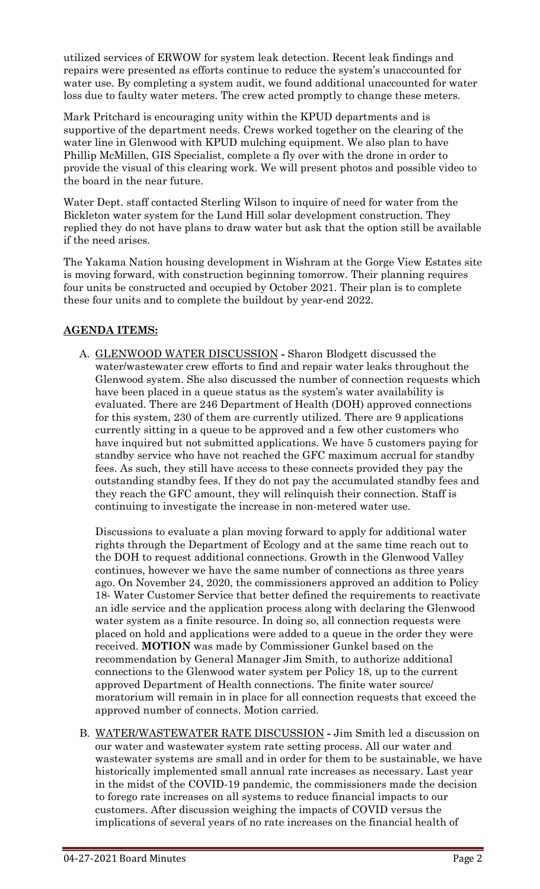utilized services of ERWOW for system leak detection. Recent leak findings and repairs were presented as efforts continue to reduce the system's unaccounted for water use. By completing a system audit, we found additional unaccounted for water loss due to faulty water meters. The crew acted promptly to change these meters.

Mark Pritchard is encouraging unity within the KPUD departments and is supportive of the department needs. Crews worked together on the clearing of the water line in Glenwood with KPUD mulching equipment. We also plan to have Phillip McMillen, GIS Specialist, complete a fly over with the drone in order to provide the visual of this clearing work. We will present photos and possible video to the board in the near future.

Water Dept. staff contacted Sterling Wilson to inquire of need for water from the Bickleton water system for the Lund Hill solar development construction. They replied they do not have plans to draw water but ask that the option still be available if the need arises.

The Yakama Nation housing development in Wishram at the Gorge View Estates site is moving forward, with construction beginning tomorrow. Their planning requires four units be constructed and occupied by October 2021. Their plan is to complete these four units and to complete the buildout by year-end 2022.

# **AGENDA ITEMS:**

A. GLENWOOD WATER DISCUSSION **-** Sharon Blodgett discussed the water/wastewater crew efforts to find and repair water leaks throughout the Glenwood system. She also discussed the number of connection requests which have been placed in a queue status as the system's water availability is evaluated. There are 246 Department of Health (DOH) approved connections for this system, 230 of them are currently utilized. There are 9 applications currently sitting in a queue to be approved and a few other customers who have inquired but not submitted applications. We have 5 customers paying for standby service who have not reached the GFC maximum accrual for standby fees. As such, they still have access to these connects provided they pay the outstanding standby fees. If they do not pay the accumulated standby fees and they reach the GFC amount, they will relinquish their connection. Staff is continuing to investigate the increase in non-metered water use.

Discussions to evaluate a plan moving forward to apply for additional water rights through the Department of Ecology and at the same time reach out to the DOH to request additional connections. Growth in the Glenwood Valley continues, however we have the same number of connections as three years ago. On November 24, 2020, the commissioners approved an addition to Policy 18- Water Customer Service that better defined the requirements to reactivate an idle service and the application process along with declaring the Glenwood water system as a finite resource. In doing so, all connection requests were placed on hold and applications were added to a queue in the order they were received. **MOTION** was made by Commissioner Gunkel based on the recommendation by General Manager Jim Smith, to authorize additional connections to the Glenwood water system per Policy 18, up to the current approved Department of Health connections. The finite water source/ moratorium will remain in in place for all connection requests that exceed the approved number of connects. Motion carried.

B. WATER/WASTEWATER RATE DISCUSSION **-** Jim Smith led a discussion on our water and wastewater system rate setting process. All our water and wastewater systems are small and in order for them to be sustainable, we have historically implemented small annual rate increases as necessary. Last year in the midst of the COVID-19 pandemic, the commissioners made the decision to forego rate increases on all systems to reduce financial impacts to our customers. After discussion weighing the impacts of COVID versus the implications of several years of no rate increases on the financial health of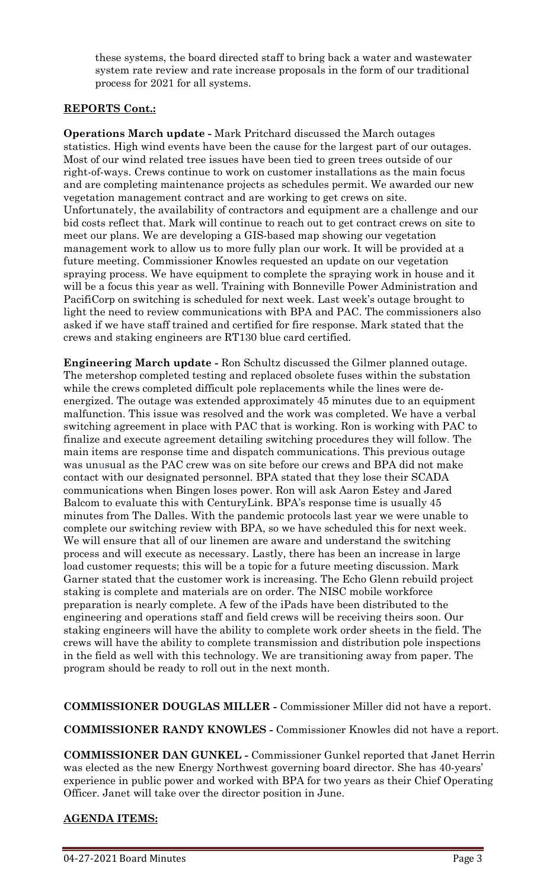these systems, the board directed staff to bring back a water and wastewater system rate review and rate increase proposals in the form of our traditional process for 2021 for all systems.

## **REPORTS Cont.:**

**Operations March update -** Mark Pritchard discussed the March outages statistics. High wind events have been the cause for the largest part of our outages. Most of our wind related tree issues have been tied to green trees outside of our right-of-ways. Crews continue to work on customer installations as the main focus and are completing maintenance projects as schedules permit. We awarded our new vegetation management contract and are working to get crews on site. Unfortunately, the availability of contractors and equipment are a challenge and our bid costs reflect that. Mark will continue to reach out to get contract crews on site to meet our plans. We are developing a GIS-based map showing our vegetation management work to allow us to more fully plan our work. It will be provided at a future meeting. Commissioner Knowles requested an update on our vegetation spraying process. We have equipment to complete the spraying work in house and it will be a focus this year as well. Training with Bonneville Power Administration and PacifiCorp on switching is scheduled for next week. Last week's outage brought to light the need to review communications with BPA and PAC. The commissioners also asked if we have staff trained and certified for fire response. Mark stated that the crews and staking engineers are RT130 blue card certified.

**Engineering March update -** Ron Schultz discussed the Gilmer planned outage. The metershop completed testing and replaced obsolete fuses within the substation while the crews completed difficult pole replacements while the lines were deenergized. The outage was extended approximately 45 minutes due to an equipment malfunction. This issue was resolved and the work was completed. We have a verbal switching agreement in place with PAC that is working. Ron is working with PAC to finalize and execute agreement detailing switching procedures they will follow. The main items are response time and dispatch communications. This previous outage was unusual as the PAC crew was on site before our crews and BPA did not make contact with our designated personnel. BPA stated that they lose their SCADA communications when Bingen loses power. Ron will ask Aaron Estey and Jared Balcom to evaluate this with CenturyLink. BPA's response time is usually 45 minutes from The Dalles. With the pandemic protocols last year we were unable to complete our switching review with BPA, so we have scheduled this for next week. We will ensure that all of our linemen are aware and understand the switching process and will execute as necessary. Lastly, there has been an increase in large load customer requests; this will be a topic for a future meeting discussion. Mark Garner stated that the customer work is increasing. The Echo Glenn rebuild project staking is complete and materials are on order. The NISC mobile workforce preparation is nearly complete. A few of the iPads have been distributed to the engineering and operations staff and field crews will be receiving theirs soon. Our staking engineers will have the ability to complete work order sheets in the field. The crews will have the ability to complete transmission and distribution pole inspections in the field as well with this technology. We are transitioning away from paper. The program should be ready to roll out in the next month.

**COMMISSIONER DOUGLAS MILLER -** Commissioner Miller did not have a report.

**COMMISSIONER RANDY KNOWLES -** Commissioner Knowles did not have a report.

**COMMISSIONER DAN GUNKEL -** Commissioner Gunkel reported that Janet Herrin was elected as the new Energy Northwest governing board director. She has 40-years' experience in public power and worked with BPA for two years as their Chief Operating Officer. Janet will take over the director position in June.

# **AGENDA ITEMS:**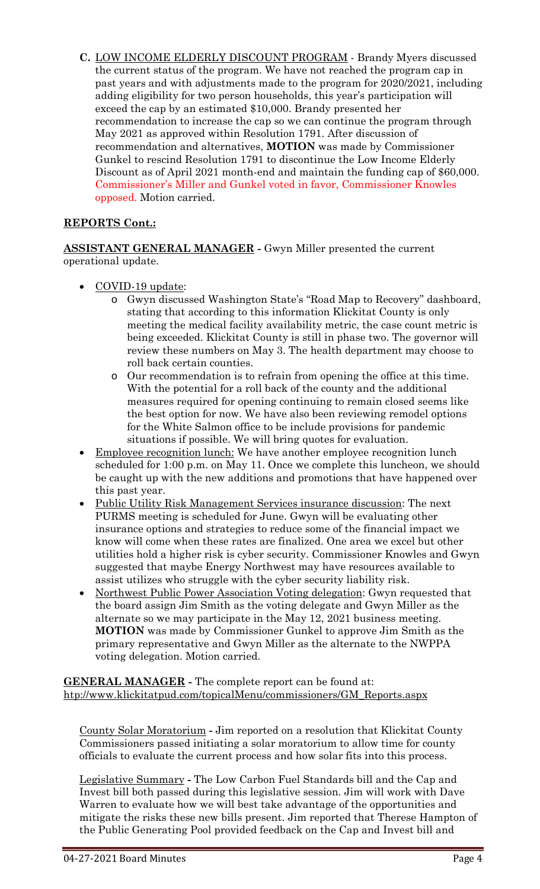**C.** LOW INCOME ELDERLY DISCOUNT PROGRAM - Brandy Myers discussed the current status of the program. We have not reached the program cap in past years and with adjustments made to the program for 2020/2021, including adding eligibility for two person households, this year's participation will exceed the cap by an estimated \$10,000. Brandy presented her recommendation to increase the cap so we can continue the program through May 2021 as approved within Resolution 1791. After discussion of recommendation and alternatives, **MOTION** was made by Commissioner Gunkel to rescind Resolution 1791 to discontinue the Low Income Elderly Discount as of April 2021 month-end and maintain the funding cap of \$60,000. Commissioner's Miller and Gunkel voted in favor, Commissioner Knowles opposed. Motion carried.

# **REPORTS Cont.:**

**ASSISTANT GENERAL MANAGER -** Gwyn Miller presented the current operational update.

- COVID-19 update:
	- o Gwyn discussed Washington State's "Road Map to Recovery" dashboard, stating that according to this information Klickitat County is only meeting the medical facility availability metric, the case count metric is being exceeded. Klickitat County is still in phase two. The governor will review these numbers on May 3. The health department may choose to roll back certain counties.
	- o Our recommendation is to refrain from opening the office at this time. With the potential for a roll back of the county and the additional measures required for opening continuing to remain closed seems like the best option for now. We have also been reviewing remodel options for the White Salmon office to be include provisions for pandemic situations if possible. We will bring quotes for evaluation.
- Employee recognition lunch: We have another employee recognition lunch scheduled for 1:00 p.m. on May 11. Once we complete this luncheon, we should be caught up with the new additions and promotions that have happened over this past year.
- Public Utility Risk Management Services insurance discussion: The next PURMS meeting is scheduled for June. Gwyn will be evaluating other insurance options and strategies to reduce some of the financial impact we know will come when these rates are finalized. One area we excel but other utilities hold a higher risk is cyber security. Commissioner Knowles and Gwyn suggested that maybe Energy Northwest may have resources available to assist utilizes who struggle with the cyber security liability risk.
- Northwest Public Power Association Voting delegation: Gwyn requested that the board assign Jim Smith as the voting delegate and Gwyn Miller as the alternate so we may participate in the May 12, 2021 business meeting. **MOTION** was made by Commissioner Gunkel to approve Jim Smith as the primary representative and Gwyn Miller as the alternate to the NWPPA voting delegation. Motion carried.

**GENERAL MANAGER -** The complete report can be found at: [htp://www.klickitatpud.com/topicalMenu/commissioners/GM\\_Reports.aspx](http://www.klickitatpud.com/topicalMenu/commissioners/GM_Reports.aspx)

County Solar Moratorium **-** Jim reported on a resolution that Klickitat County Commissioners passed initiating a solar moratorium to allow time for county officials to evaluate the current process and how solar fits into this process.

Legislative Summary **-** The Low Carbon Fuel Standards bill and the Cap and Invest bill both passed during this legislative session. Jim will work with Dave Warren to evaluate how we will best take advantage of the opportunities and mitigate the risks these new bills present. Jim reported that Therese Hampton of the Public Generating Pool provided feedback on the Cap and Invest bill and